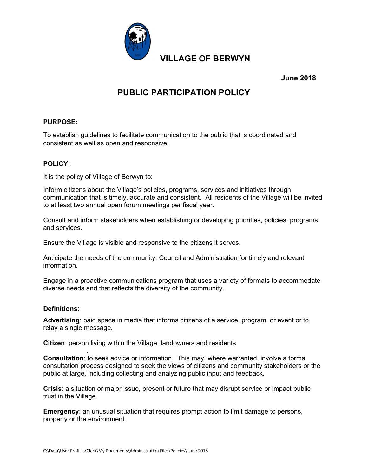

June 2018

# PUBLIC PARTICIPATION POLICY

## PURPOSE:

To establish guidelines to facilitate communication to the public that is coordinated and consistent as well as open and responsive.

## POLICY:

It is the policy of Village of Berwyn to:

Inform citizens about the Village's policies, programs, services and initiatives through communication that is timely, accurate and consistent. All residents of the Village will be invited to at least two annual open forum meetings per fiscal year.

Consult and inform stakeholders when establishing or developing priorities, policies, programs and services.

Ensure the Village is visible and responsive to the citizens it serves.

Anticipate the needs of the community, Council and Administration for timely and relevant information.

Engage in a proactive communications program that uses a variety of formats to accommodate diverse needs and that reflects the diversity of the community.

## Definitions:

.

Advertising: paid space in media that informs citizens of a service, program, or event or to relay a single message.

Citizen: person living within the Village; landowners and residents

Consultation: to seek advice or information. This may, where warranted, involve a formal consultation process designed to seek the views of citizens and community stakeholders or the public at large, including collecting and analyzing public input and feedback.

Crisis: a situation or major issue, present or future that may disrupt service or impact public trust in the Village.

Emergency: an unusual situation that requires prompt action to limit damage to persons, property or the environment.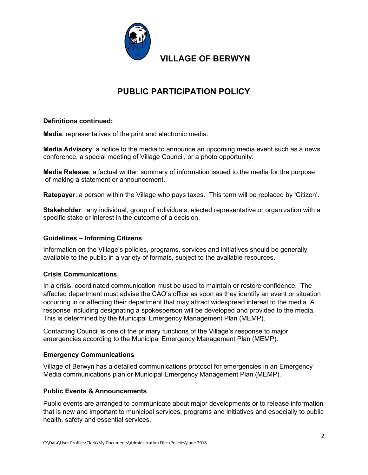

# PUBLIC PARTICIPATION POLICY

# Definitions continued:

Media: representatives of the print and electronic media.

**Media Advisory**: a notice to the media to announce an upcoming media event such as a news conference, a special meeting of Village Council, or a photo opportunity.

Media Release: a factual written summary of information issued to the media for the purpose of making a statement or announcement.

Ratepayer: a person within the Village who pays taxes. This term will be replaced by 'Citizen'.

Stakeholder: any individual, group of individuals, elected representative or organization with a specific stake or interest in the outcome of a decision.

## Guidelines – Informing Citizens

Information on the Village's policies, programs, services and initiatives should be generally available to the public in a variety of formats, subject to the available resources.

## Crisis Communications

In a crisis, coordinated communication must be used to maintain or restore confidence. The affected department must advise the CAO's office as soon as they identify an event or situation occurring in or affecting their department that may attract widespread interest to the media. A response including designating a spokesperson will be developed and provided to the media. This is determined by the Municipal Emergency Management Plan (MEMP).

Contacting Council is one of the primary functions of the Village's response to major emergencies according to the Municipal Emergency Management Plan (MEMP).

## Emergency Communications

Village of Berwyn has a detailed communications protocol for emergencies in an Emergency Media communications plan or Municipal Emergency Management Plan (MEMP).

## Public Events & Announcements

Public events are arranged to communicate about major developments or to release information that is new and important to municipal services, programs and initiatives and especially to public health, safety and essential services.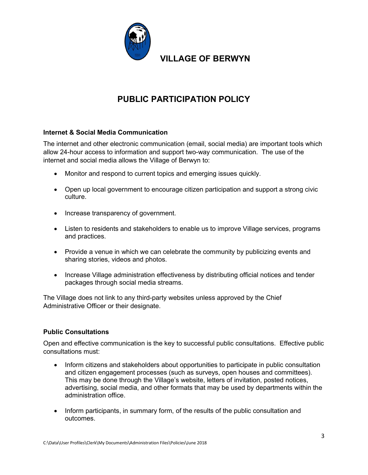

# PUBLIC PARTICIPATION POLICY

# Internet & Social Media Communication

The internet and other electronic communication (email, social media) are important tools which allow 24-hour access to information and support two-way communication. The use of the internet and social media allows the Village of Berwyn to:

- Monitor and respond to current topics and emerging issues quickly.
- Open up local government to encourage citizen participation and support a strong civic culture.
- Increase transparency of government.
- Listen to residents and stakeholders to enable us to improve Village services, programs and practices.
- Provide a venue in which we can celebrate the community by publicizing events and sharing stories, videos and photos.
- Increase Village administration effectiveness by distributing official notices and tender packages through social media streams.

The Village does not link to any third-party websites unless approved by the Chief Administrative Officer or their designate.

# Public Consultations

Open and effective communication is the key to successful public consultations. Effective public consultations must:

- Inform citizens and stakeholders about opportunities to participate in public consultation and citizen engagement processes (such as surveys, open houses and committees). This may be done through the Village's website, letters of invitation, posted notices, advertising, social media, and other formats that may be used by departments within the administration office.
- Inform participants, in summary form, of the results of the public consultation and outcomes.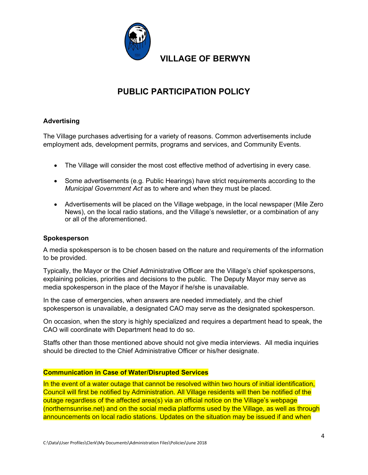

# PUBLIC PARTICIPATION POLICY

# Advertising

The Village purchases advertising for a variety of reasons. Common advertisements include employment ads, development permits, programs and services, and Community Events.

- The Village will consider the most cost effective method of advertising in every case.
- Some advertisements (e.g. Public Hearings) have strict requirements according to the Municipal Government Act as to where and when they must be placed.
- Advertisements will be placed on the Village webpage, in the local newspaper (Mile Zero News), on the local radio stations, and the Village's newsletter, or a combination of any or all of the aforementioned.

#### **Spokesperson**

A media spokesperson is to be chosen based on the nature and requirements of the information to be provided.

Typically, the Mayor or the Chief Administrative Officer are the Village's chief spokespersons, explaining policies, priorities and decisions to the public. The Deputy Mayor may serve as media spokesperson in the place of the Mayor if he/she is unavailable.

In the case of emergencies, when answers are needed immediately, and the chief spokesperson is unavailable, a designated CAO may serve as the designated spokesperson.

On occasion, when the story is highly specialized and requires a department head to speak, the CAO will coordinate with Department head to do so.

Staffs other than those mentioned above should not give media interviews. All media inquiries should be directed to the Chief Administrative Officer or his/her designate.

## Communication in Case of Water/Disrupted Services

In the event of a water outage that cannot be resolved within two hours of initial identification, Council will first be notified by Administration. All Village residents will then be notified of the outage regardless of the affected area(s) via an official notice on the Village's webpage (northernsunrise.net) and on the social media platforms used by the Village, as well as through announcements on local radio stations. Updates on the situation may be issued if and when